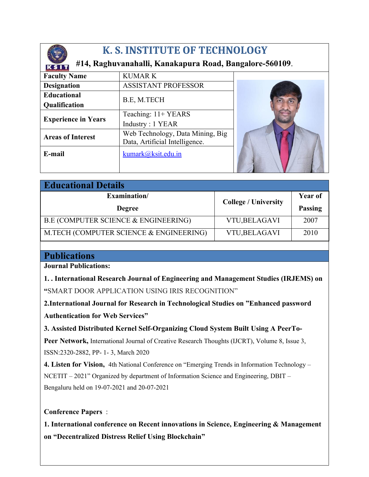

## **K. S. INSTITUTE OF TECHNOLOGY**

## **#14, Raghuvanahalli, Kanakapura Road, Bangalore-560109**.

| <b>K F INTELLIAL AS SECUREFORA</b> |                                  |  |  |
|------------------------------------|----------------------------------|--|--|
| <b>Faculty Name</b>                | <b>KUMARK</b>                    |  |  |
| <b>Designation</b>                 | <b>ASSISTANT PROFESSOR</b>       |  |  |
| <b>Educational</b>                 | B.E, M.TECH                      |  |  |
| <b>Qualification</b>               |                                  |  |  |
| <b>Experience in Years</b>         | Teaching: 11+ YEARS              |  |  |
|                                    | Industry: 1 YEAR                 |  |  |
| <b>Areas of Interest</b>           | Web Technology, Data Mining, Big |  |  |
|                                    | Data, Artificial Intelligence.   |  |  |
| E-mail                             | kumark@ksit.edu.in               |  |  |
|                                    |                                  |  |  |
|                                    |                                  |  |  |

| <b>Educational Details</b>              |                             |                |  |
|-----------------------------------------|-----------------------------|----------------|--|
| Examination/                            | <b>College / University</b> | Year of        |  |
| <b>Degree</b>                           |                             | <b>Passing</b> |  |
| B.E (COMPUTER SCIENCE & ENGINEERING)    | VTU, BELAGAVI               | 2007           |  |
| M.TECH (COMPUTER SCIENCE & ENGINEERING) | <b>VTU,BELAGAVI</b>         | 2010           |  |

## **Publications**

**Journal Publications:**

**1. . International Research Journal of Engineering and Management Studies (IRJEMS) on "**SMART DOOR APPLICATION USING IRIS RECOGNITION"

**2.International Journal for Research in Technological Studies on "Enhanced password Authentication for Web Services"**

**3. Assisted Distributed Kernel Self-Organizing Cloud System Built Using A PeerTo-**

Peer Network, International Journal of Creative Research Thoughts (IJCRT), Volume 8, Issue 3, ISSN:2320-2882, PP- 1- 3, March 2020

**4. Listen for Vision,** 4th National Conference on "Emerging Trends in Information Technology – NCETIT – 2021" Organized by department of Information Science and Engineering, DBIT – Bengaluru held on 19-07-2021 and 20-07-2021

## **Conference Papers** :

**1. International conference on Recent innovations in Science, Engineering & Management on "Decentralized Distress Relief Using Blockchain"**